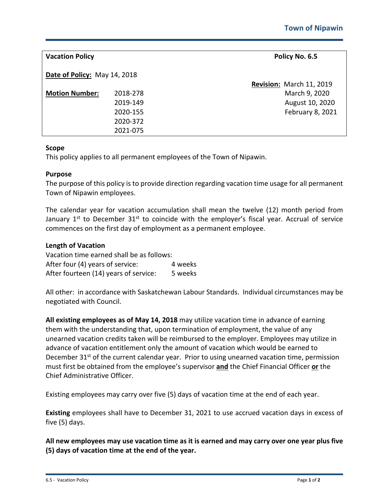| <b>Vacation Policy</b>       |          | Policy No. 6.5           |
|------------------------------|----------|--------------------------|
| Date of Policy: May 14, 2018 |          |                          |
|                              |          | Revision: March 11, 2019 |
| <b>Motion Number:</b>        | 2018-278 | March 9, 2020            |
|                              | 2019-149 | August 10, 2020          |
|                              | 2020-155 | February 8, 2021         |
|                              | 2020-372 |                          |
|                              | 2021-075 |                          |

## **Scope**

This policy applies to all permanent employees of the Town of Nipawin.

## **Purpose**

The purpose of this policy is to provide direction regarding vacation time usage for all permanent Town of Nipawin employees.

The calendar year for vacation accumulation shall mean the twelve (12) month period from January  $1^{st}$  to December  $31^{st}$  to coincide with the employer's fiscal year. Accrual of service commences on the first day of employment as a permanent employee.

## **Length of Vacation**

Vacation time earned shall be as follows: After four (4) years of service: 4 weeks After fourteen (14) years of service: 5 weeks

All other: in accordance with Saskatchewan Labour Standards. Individual circumstances may be negotiated with Council.

**All existing employees as of May 14, 2018** may utilize vacation time in advance of earning them with the understanding that, upon termination of employment, the value of any unearned vacation credits taken will be reimbursed to the employer. Employees may utilize in advance of vacation entitlement only the amount of vacation which would be earned to December 31<sup>st</sup> of the current calendar year. Prior to using unearned vacation time, permission must first be obtained from the employee's supervisor **and** the Chief Financial Officer **or** the Chief Administrative Officer.

Existing employees may carry over five (5) days of vacation time at the end of each year.

**Existing** employees shall have to December 31, 2021 to use accrued vacation days in excess of five (5) days.

**All new employees may use vacation time as it is earned and may carry over one year plus five (5) days of vacation time at the end of the year.**